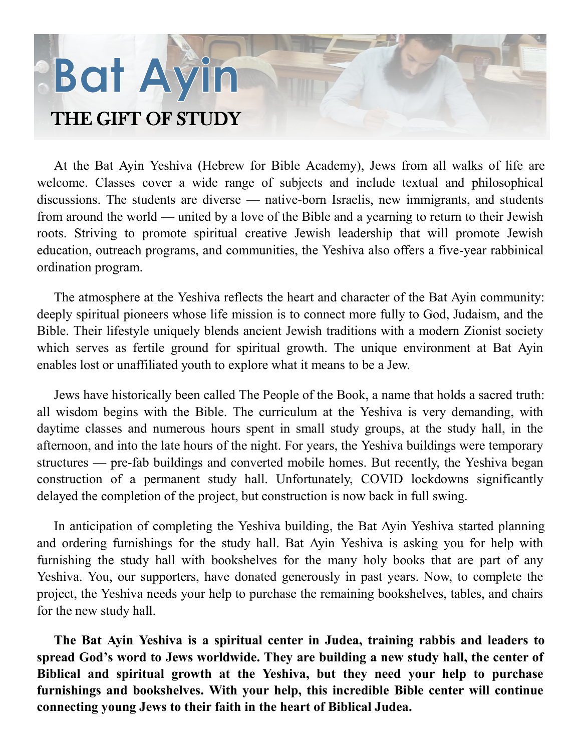# Bat Ayin THE GIFT OF STUDY

At the Bat Ayin Yeshiva (Hebrew for Bible Academy), Jews from all walks of life are welcome. Classes cover a wide range of subjects and include textual and philosophical discussions. The students are diverse — native-born Israelis, new immigrants, and students from around the world — united by a love of the Bible and a yearning to return to their Jewish roots. Striving to promote spiritual creative Jewish leadership that will promote Jewish education, outreach programs, and communities, the Yeshiva also offers a five-year rabbinical ordination program.

The atmosphere at the Yeshiva reflects the heart and character of the Bat Ayin community: deeply spiritual pioneers whose life mission is to connect more fully to God, Judaism, and the Bible. Their lifestyle uniquely blends ancient Jewish traditions with a modern Zionist society which serves as fertile ground for spiritual growth. The unique environment at Bat Ayin enables lost or unaffiliated youth to explore what it means to be a Jew.

Jews have historically been called The People of the Book, a name that holds a sacred truth: all wisdom begins with the Bible. The curriculum at the Yeshiva is very demanding, with daytime classes and numerous hours spent in small study groups, at the study hall, in the afternoon, and into the late hours of the night. For years, the Yeshiva buildings were temporary structures — pre-fab buildings and converted mobile homes. But recently, the Yeshiva began construction of a permanent study hall. Unfortunately, COVID lockdowns significantly delayed the completion of the project, but construction is now back in full swing.

In anticipation of completing the Yeshiva building, the Bat Ayin Yeshiva started planning and ordering furnishings for the study hall. Bat Ayin Yeshiva is asking you for help with furnishing the study hall with bookshelves for the many holy books that are part of any Yeshiva. You, our supporters, have donated generously in past years. Now, to complete the project, the Yeshiva needs your help to purchase the remaining bookshelves, tables, and chairs for the new study hall.

**The Bat Ayin Yeshiva is a spiritual center in Judea, training rabbis and leaders to spread God's word to Jews worldwide. They are building a new study hall, the center of Biblical and spiritual growth at the Yeshiva, but they need your help to purchase furnishings and bookshelves. With your help, this incredible Bible center will continue connecting young Jews to their faith in the heart of Biblical Judea.**